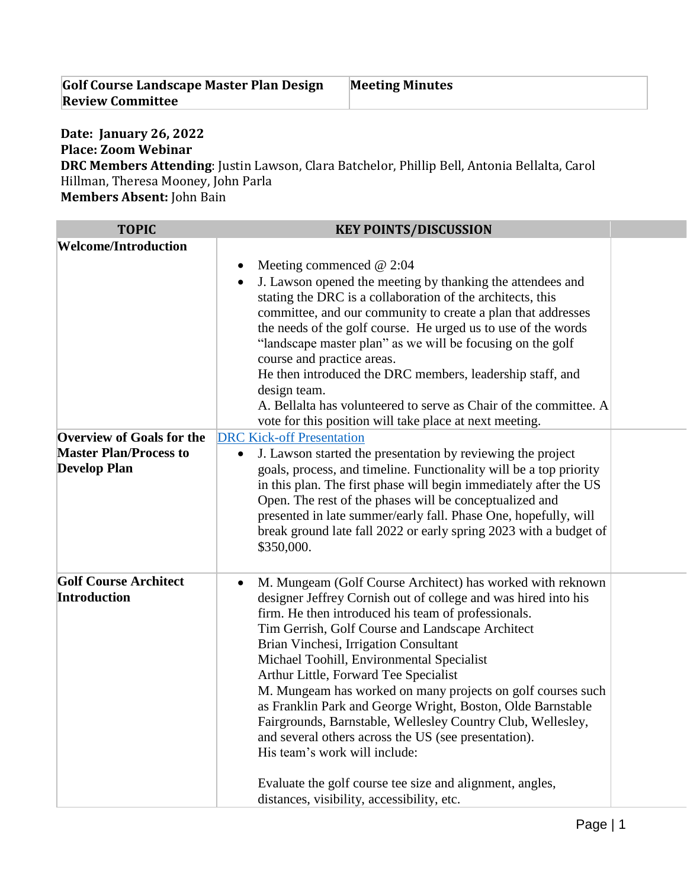| <b>Golf Course Landscape Master Plan Design</b> | <b>Meeting Minutes</b> |
|-------------------------------------------------|------------------------|
| <b>Review Committee</b>                         |                        |

## **Date: January 26, 2022 Place: Zoom Webinar**

**DRC Members Attending**: Justin Lawson, Clara Batchelor, Phillip Bell, Antonia Bellalta, Carol Hillman, Theresa Mooney, John Parla

**Members Absent:** John Bain

| <b>TOPIC</b>                                                                             | <b>KEY POINTS/DISCUSSION</b>                                                                                                                                                                                                                                                                                                                                                                                                                                                                                                                                                                                                                                                                                                                                                        |
|------------------------------------------------------------------------------------------|-------------------------------------------------------------------------------------------------------------------------------------------------------------------------------------------------------------------------------------------------------------------------------------------------------------------------------------------------------------------------------------------------------------------------------------------------------------------------------------------------------------------------------------------------------------------------------------------------------------------------------------------------------------------------------------------------------------------------------------------------------------------------------------|
| <b>Welcome/Introduction</b>                                                              |                                                                                                                                                                                                                                                                                                                                                                                                                                                                                                                                                                                                                                                                                                                                                                                     |
|                                                                                          | Meeting commenced $@2:04$<br>٠<br>J. Lawson opened the meeting by thanking the attendees and<br>٠<br>stating the DRC is a collaboration of the architects, this<br>committee, and our community to create a plan that addresses<br>the needs of the golf course. He urged us to use of the words<br>"landscape master plan" as we will be focusing on the golf<br>course and practice areas.<br>He then introduced the DRC members, leadership staff, and<br>design team.<br>A. Bellalta has volunteered to serve as Chair of the committee. A<br>vote for this position will take place at next meeting.                                                                                                                                                                           |
| <b>Overview of Goals for the</b><br><b>Master Plan/Process to</b><br><b>Develop Plan</b> | <b>DRC Kick-off Presentation</b><br>J. Lawson started the presentation by reviewing the project<br>goals, process, and timeline. Functionality will be a top priority<br>in this plan. The first phase will begin immediately after the US<br>Open. The rest of the phases will be conceptualized and<br>presented in late summer/early fall. Phase One, hopefully, will<br>break ground late fall 2022 or early spring 2023 with a budget of<br>\$350,000.                                                                                                                                                                                                                                                                                                                         |
| <b>Golf Course Architect</b><br><b>Introduction</b>                                      | M. Mungeam (Golf Course Architect) has worked with reknown<br>$\bullet$<br>designer Jeffrey Cornish out of college and was hired into his<br>firm. He then introduced his team of professionals.<br>Tim Gerrish, Golf Course and Landscape Architect<br>Brian Vinchesi, Irrigation Consultant<br>Michael Toohill, Environmental Specialist<br>Arthur Little, Forward Tee Specialist<br>M. Mungeam has worked on many projects on golf courses such<br>as Franklin Park and George Wright, Boston, Olde Barnstable<br>Fairgrounds, Barnstable, Wellesley Country Club, Wellesley,<br>and several others across the US (see presentation).<br>His team's work will include:<br>Evaluate the golf course tee size and alignment, angles,<br>distances, visibility, accessibility, etc. |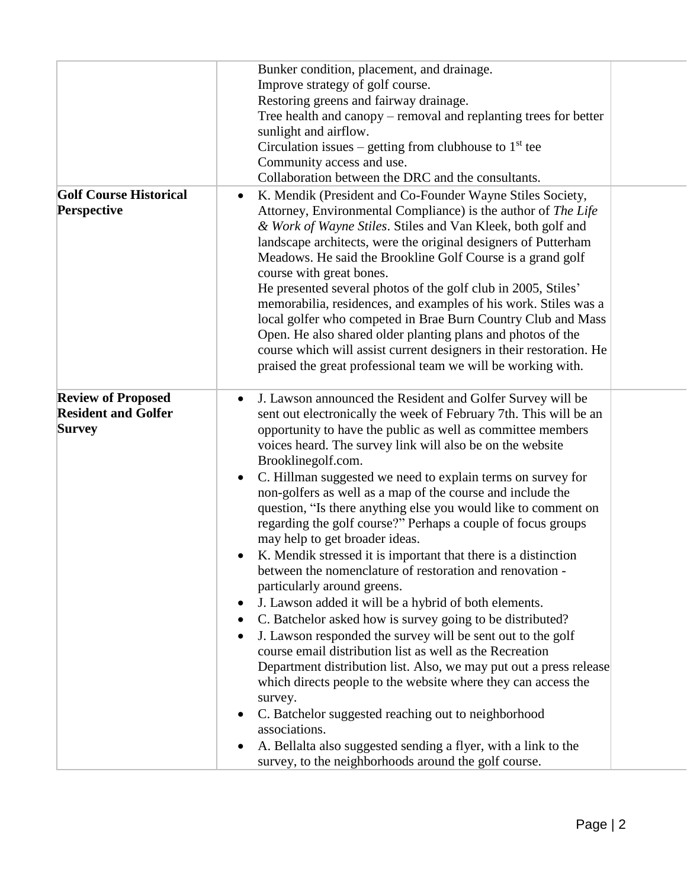|                                                                          | Bunker condition, placement, and drainage.<br>Improve strategy of golf course.<br>Restoring greens and fairway drainage.<br>Tree health and canopy – removal and replanting trees for better<br>sunlight and airflow.<br>Circulation issues – getting from clubhouse to $1st$ tee<br>Community access and use.<br>Collaboration between the DRC and the consultants.                                                                                                                                                                                                                                                                                                                                                                                                                                                                                                                                                                                                                                                                                                                                                                                                                                                                                                                                                                                                                        |  |
|--------------------------------------------------------------------------|---------------------------------------------------------------------------------------------------------------------------------------------------------------------------------------------------------------------------------------------------------------------------------------------------------------------------------------------------------------------------------------------------------------------------------------------------------------------------------------------------------------------------------------------------------------------------------------------------------------------------------------------------------------------------------------------------------------------------------------------------------------------------------------------------------------------------------------------------------------------------------------------------------------------------------------------------------------------------------------------------------------------------------------------------------------------------------------------------------------------------------------------------------------------------------------------------------------------------------------------------------------------------------------------------------------------------------------------------------------------------------------------|--|
| <b>Golf Course Historical</b><br>Perspective                             | K. Mendik (President and Co-Founder Wayne Stiles Society,<br>$\bullet$<br>Attorney, Environmental Compliance) is the author of The Life<br>& Work of Wayne Stiles. Stiles and Van Kleek, both golf and<br>landscape architects, were the original designers of Putterham<br>Meadows. He said the Brookline Golf Course is a grand golf<br>course with great bones.<br>He presented several photos of the golf club in 2005, Stiles'<br>memorabilia, residences, and examples of his work. Stiles was a<br>local golfer who competed in Brae Burn Country Club and Mass<br>Open. He also shared older planting plans and photos of the<br>course which will assist current designers in their restoration. He<br>praised the great professional team we will be working with.                                                                                                                                                                                                                                                                                                                                                                                                                                                                                                                                                                                                                |  |
| <b>Review of Proposed</b><br><b>Resident and Golfer</b><br><b>Survey</b> | J. Lawson announced the Resident and Golfer Survey will be<br>$\bullet$<br>sent out electronically the week of February 7th. This will be an<br>opportunity to have the public as well as committee members<br>voices heard. The survey link will also be on the website<br>Brooklinegolf.com.<br>C. Hillman suggested we need to explain terms on survey for<br>$\bullet$<br>non-golfers as well as a map of the course and include the<br>question, "Is there anything else you would like to comment on<br>regarding the golf course?" Perhaps a couple of focus groups<br>may help to get broader ideas.<br>K. Mendik stressed it is important that there is a distinction<br>between the nomenclature of restoration and renovation -<br>particularly around greens.<br>J. Lawson added it will be a hybrid of both elements.<br>C. Batchelor asked how is survey going to be distributed?<br>J. Lawson responded the survey will be sent out to the golf<br>course email distribution list as well as the Recreation<br>Department distribution list. Also, we may put out a press release<br>which directs people to the website where they can access the<br>survey.<br>C. Batchelor suggested reaching out to neighborhood<br>$\bullet$<br>associations.<br>A. Bellalta also suggested sending a flyer, with a link to the<br>survey, to the neighborhoods around the golf course. |  |